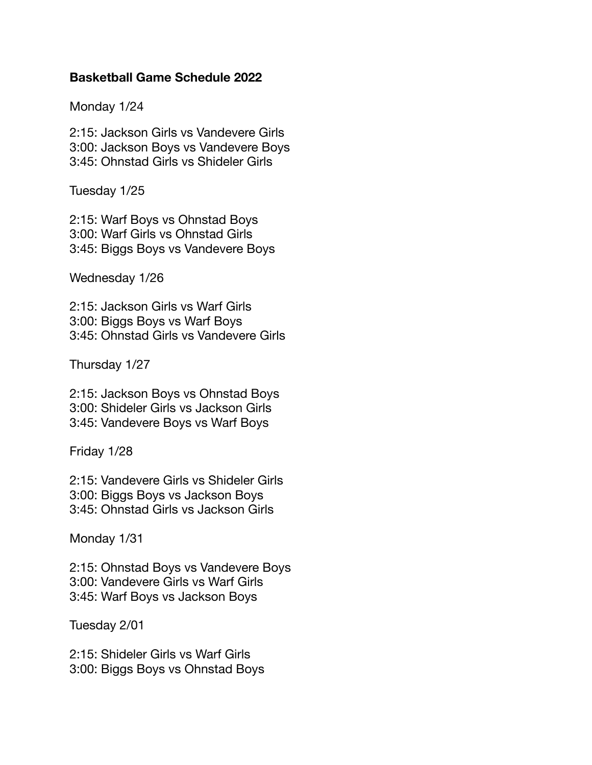## **Basketball Game Schedule 2022**

Monday 1/24

2:15: Jackson Girls vs Vandevere Girls 3:00: Jackson Boys vs Vandevere Boys 3:45: Ohnstad Girls vs Shideler Girls

Tuesday 1/25

2:15: Warf Boys vs Ohnstad Boys 3:00: Warf Girls vs Ohnstad Girls 3:45: Biggs Boys vs Vandevere Boys

Wednesday 1/26

2:15: Jackson Girls vs Warf Girls 3:00: Biggs Boys vs Warf Boys 3:45: Ohnstad Girls vs Vandevere Girls

Thursday 1/27

2:15: Jackson Boys vs Ohnstad Boys 3:00: Shideler Girls vs Jackson Girls 3:45: Vandevere Boys vs Warf Boys

Friday 1/28

2:15: Vandevere Girls vs Shideler Girls 3:00: Biggs Boys vs Jackson Boys 3:45: Ohnstad Girls vs Jackson Girls

Monday 1/31

2:15: Ohnstad Boys vs Vandevere Boys 3:00: Vandevere Girls vs Warf Girls 3:45: Warf Boys vs Jackson Boys

Tuesday 2/01

2:15: Shideler Girls vs Warf Girls 3:00: Biggs Boys vs Ohnstad Boys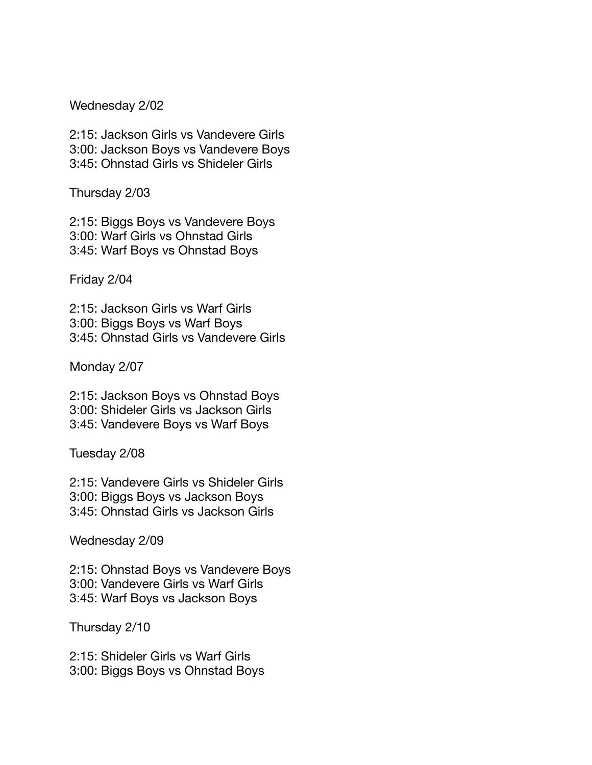Wednesday 2/02

2:15: Jackson Girls vs Vandevere Girls 3:00: Jackson Boys vs Vandevere Boys 3:45: Ohnstad Girls vs Shideler Girls

Thursday 2/03

2:15: Biggs Boys vs Vandevere Boys 3:00: Warf Girls vs Ohnstad Girls 3:45: Warf Boys vs Ohnstad Boys

Friday 2/04

2:15: Jackson Girls vs Warf Girls 3:00: Biggs Boys vs Warf Boys 3:45: Ohnstad Girls vs Vandevere Girls

Monday 2/07

2:15: Jackson Boys vs Ohnstad Boys 3:00: Shideler Girls vs Jackson Girls 3:45: Vandevere Boys vs Warf Boys

Tuesday 2/08

2:15: Vandevere Girls vs Shideler Girls 3:00: Biggs Boys vs Jackson Boys 3:45: Ohnstad Girls vs Jackson Girls

Wednesday 2/09

2:15: Ohnstad Boys vs Vandevere Boys 3:00: Vandevere Girls vs Warf Girls 3:45: Warf Boys vs Jackson Boys

Thursday 2/10

2:15: Shideler Girls vs Warf Girls 3:00: Biggs Boys vs Ohnstad Boys